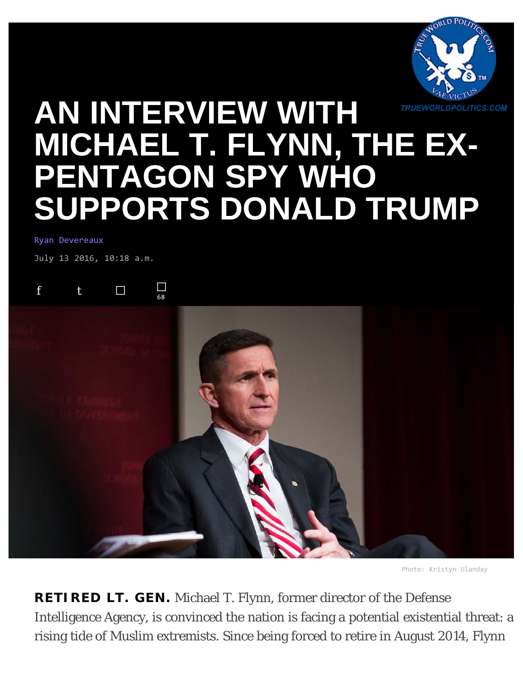

# **[AN INTERVIEW WITH](https://theintercept.com/2016/07/13/an-interview-with-lt-gen-michael-flynn/) [MICHAEL T. FLYNN, THE EX-](https://theintercept.com/2016/07/13/an-interview-with-lt-gen-michael-flynn/)[PENTAGON SPY WHO](https://theintercept.com/2016/07/13/an-interview-with-lt-gen-michael-flynn/) [SUPPORTS DONALD TRUMP](https://theintercept.com/2016/07/13/an-interview-with-lt-gen-michael-flynn/)**

#### [Ryan Devereaux](https://theintercept.com/staff/ryan-devereaux/)

July 13 2016, 10:18 a.m.





Photo: Kristyn Ulanday

**RETIRED LT. GEN.** Michael T. Flynn, former director of the Defense Intelligence Agency, is convinced the nation is facing a potential existential threat: a rising tide of Muslim extremists. Since being forced to retire in August 2014, Flynn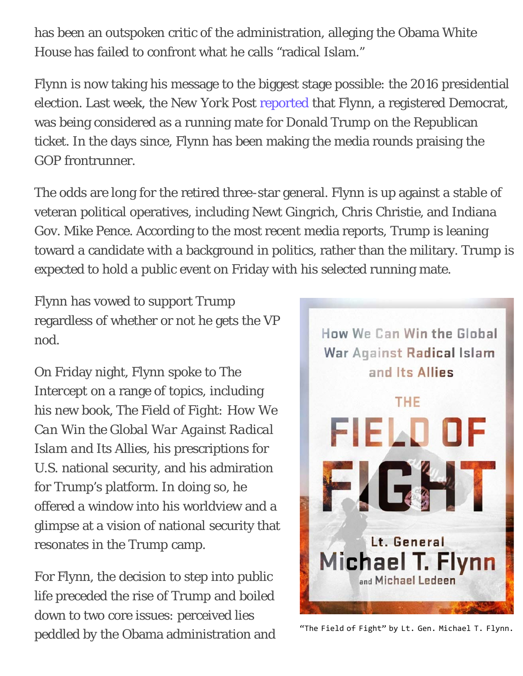has been an outspoken critic of the administration, alleging the Obama White House has failed to confront what he calls "radical Islam."

Flynn is now taking his message to the biggest stage possible: the 2016 presidential election. Last week, the *New York Post* [reported](http://nypost.com/2016/07/05/this-brash-lieutenant-general-is-on-trumps-short-list-for-vp/) that Flynn, a registered Democrat, was being considered as a running mate for Donald Trump on the Republican ticket. In the days since, Flynn has been making the media rounds praising the GOP frontrunner.

The odds are long for the retired three-star general. Flynn is up against a stable of veteran political operatives, including Newt Gingrich, Chris Christie, and Indiana Gov. Mike Pence. According to the most recent media reports, Trump is leaning toward a candidate with a background in politics, rather than the military. Trump is expected to hold a public event on Friday with his selected running mate.

Flynn has vowed to support Trump regardless of whether or not he gets the VP nod.

On Friday night, Flynn spoke to *The Intercept* on a range of topics, including his new book, *The Field of Fight: How We Can Win the Global War Against Radical Islam and Its Allies*, his prescriptions for U.S. national security, and his admiration for Trump's platform. In doing so, he offered a window into his worldview and a glimpse at a vision of national security that resonates in the Trump camp.

For Flynn, the decision to step into public life preceded the rise of Trump and boiled down to two core issues: perceived lies peddled by the Obama administration and



"The Field of Fight" by Lt. Gen. Michael T. Flynn.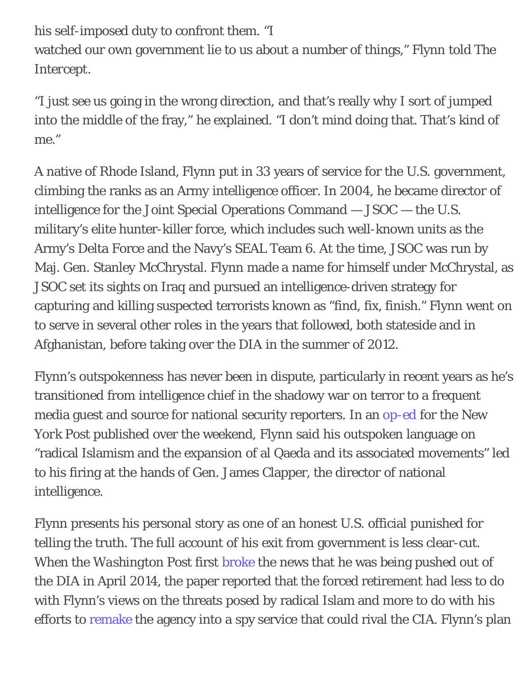his self-imposed duty to confront them. "I watched our own government lie to us about a number of things," Flynn told *The Intercept*.

"I just see us going in the wrong direction, and that's really why I sort of jumped into the middle of the fray," he explained. "I don't mind doing that. That's kind of me."

A native of Rhode Island, Flynn put in 33 years of service for the U.S. government, climbing the ranks as an Army intelligence officer. In 2004, he became director of intelligence for the Joint Special Operations Command — JSOC — the U.S. military's elite hunter-killer force, which includes such well-known units as the Army's Delta Force and the Navy's SEAL Team 6. At the time, JSOC was run by Maj. Gen. Stanley McChrystal. Flynn made a name for himself under McChrystal, as JSOC set its sights on Iraq and pursued an intelligence-driven strategy for capturing and killing suspected terrorists known as "find, fix, finish." Flynn went on to serve in several other roles in the years that followed, both stateside and in Afghanistan, before taking over the DIA in the summer of 2012.

Flynn's outspokenness has never been in dispute, particularly in recent years as he's transitioned from intelligence chief in the shadowy war on terror to a frequent media guest and source for national security reporters. In an [op-ed](http://nypost.com/2016/07/09/the-military-fired-me-for-calling-our-enemies-radical-jihadis/) for the *New York Post* published over the weekend, Flynn said his outspoken language on "radical Islamism and the expansion of al Qaeda and its associated movements" led to his firing at the hands of Gen. James Clapper, the director of national intelligence.

Flynn presents his personal story as one of an honest U.S. official punished for telling the truth. The full account of his exit from government is less clear-cut. When the *Washington Post* first [broke](https://www.washingtonpost.com/world/national-security/head-of-pentagon-intelligence-agency-forced-out-officials-say/2014/04/30/ec15a366-d09d-11e3-9e25-188ebe1fa93b_story.html) the news that he was being pushed out of the DIA in April 2014, the paper reported that the forced retirement had less to do with Flynn's views on the threats posed by radical Islam and more to do with his efforts to [remake](https://www.washingtonpost.com/world/national-security/dia-to-send-hundreds-more-spies-overseas/2012/12/01/97463e4e-399b-11e2-b01f-5f55b193f58f_story.html) the agency into a spy service that could rival the CIA. Flynn's plan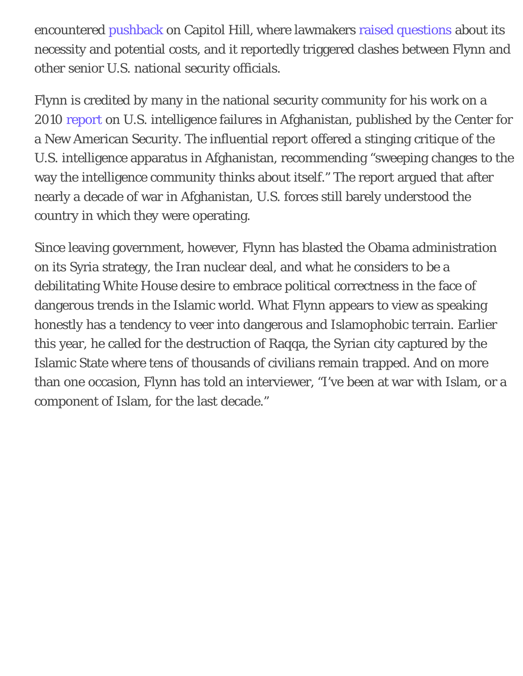encountered [pushback](https://www.washingtonpost.com/world/national-security/senate-moves-to-block-pentagon-plans-to-increase-number-of-spies-overseas/2012/12/10/5a9a55b8-42ea-11e2-9648-a2c323a991d6_story.html) on Capitol Hill, where lawmakers [raised questions](https://www.wired.com/2013/05/pentagon-den-of-spies/) about its necessity and potential costs, and it reportedly triggered clashes between Flynn and other senior U.S. national security officials.

Flynn is credited by many in the national security community for his work on a 2010 [report](https://www.cnas.org/files/documents/publications/AfghanIntel_Flynn_Jan2010_code507_voices.pdf) on U.S. intelligence failures in Afghanistan, published by the Center for a New American Security. The influential report offered a stinging critique of the U.S. intelligence apparatus in Afghanistan, recommending "sweeping changes to the way the intelligence community thinks about itself." The report argued that after nearly a decade of war in Afghanistan, U.S. forces still barely understood the country in which they were operating.

Since leaving government, however, Flynn has blasted the Obama administration on its Syria strategy, the Iran nuclear deal, and what he considers to be a debilitating White House desire to embrace political correctness in the face of dangerous trends in the Islamic world. What Flynn appears to view as speaking honestly has a tendency to veer into dangerous and Islamophobic terrain. Earlier this year, he called for the destruction of Raqqa, the Syrian city captured by the Islamic State where tens of thousands of civilians remain trapped. And on more than one occasion, Flynn has told an interviewer, "I've been at war with Islam, or a component of Islam, for the last decade."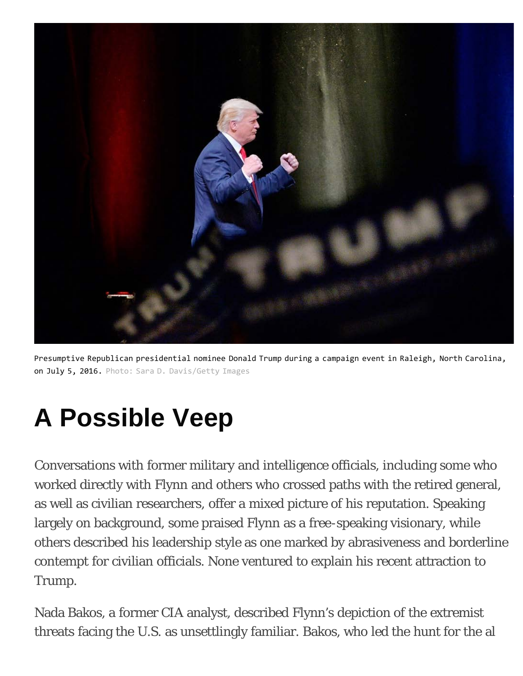

Presumptive Republican presidential nominee Donald Trump during a campaign event in Raleigh, North Carolina, on July 5, 2016. Photo: Sara D. Davis/Getty Images

# **A Possible Veep**

Conversations with former military and intelligence officials, including some who worked directly with Flynn and others who crossed paths with the retired general, as well as civilian researchers, offer a mixed picture of his reputation. Speaking largely on background, some praised Flynn as a free-speaking visionary, while others described his leadership style as one marked by abrasiveness and borderline contempt for civilian officials. None ventured to explain his recent attraction to Trump.

Nada Bakos, a former CIA analyst, described Flynn's depiction of the extremist threats facing the U.S. as unsettlingly familiar. Bakos, who led the hunt for the al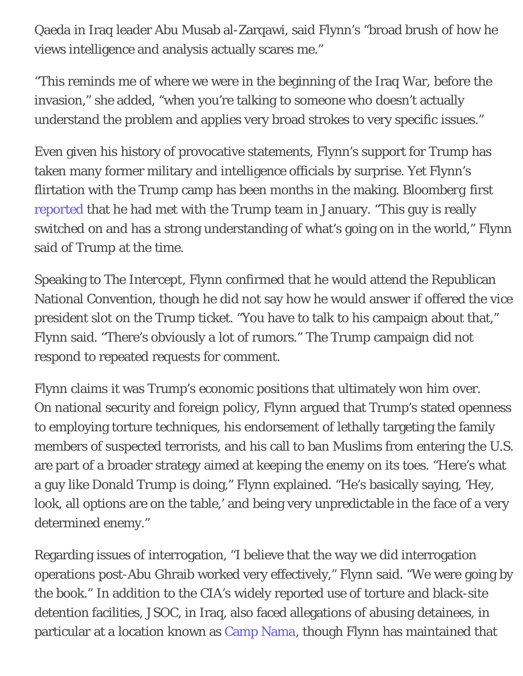Qaeda in Iraq leader Abu Musab al-Zarqawi, said Flynn's "broad brush of how he views intelligence and analysis actually scares me."

"This reminds me of where we were in the beginning of the Iraq War, before the invasion," she added, "when you're talking to someone who doesn't actually understand the problem and applies very broad strokes to very specific issues."

Even given his history of provocative statements, Flynn's support for Trump has taken many former military and intelligence officials by surprise. Yet Flynn's flirtation with the Trump camp has been months in the making. *Bloomberg* first [reported](https://www.bloomberg.com/view/articles/2016-01-31/the-trump-doctrine-revealed) that he had met with the Trump team in January. "This guy is really switched on and has a strong understanding of what's going on in the world," Flynn said of Trump at the time.

Speaking to *The Intercept*, Flynn confirmed that he would attend the Republican National Convention, though he did not say how he would answer if offered the vice president slot on the Trump ticket. "You have to talk to his campaign about that," Flynn said. "There's obviously a lot of rumors." The Trump campaign did not respond to repeated requests for comment.

Flynn claims it was Trump's economic positions that ultimately won him over. On national security and foreign policy, Flynn argued that Trump's stated openness to employing torture techniques, his endorsement of lethally targeting the family members of suspected terrorists, and his call to ban Muslims from entering the U.S. are part of a broader strategy aimed at keeping the enemy on its toes. "Here's what a guy like Donald Trump is doing," Flynn explained. "He's basically saying, 'Hey, look, all options are on the table,' and being very unpredictable in the face of a very determined enemy."

Regarding issues of interrogation, "I believe that the way we did interrogation operations post-Abu Ghraib worked very effectively," Flynn said. "We were going by the book." In addition to the CIA's widely reported use of torture and black-site detention facilities, JSOC, in Iraq, also faced allegations of abusing detainees, in particular at a location known as [Camp Nama](https://www.hrw.org/report/2006/07/22/no-blood-no-foul/soldiers-accounts-detainee-abuse-iraq), though Flynn has maintained that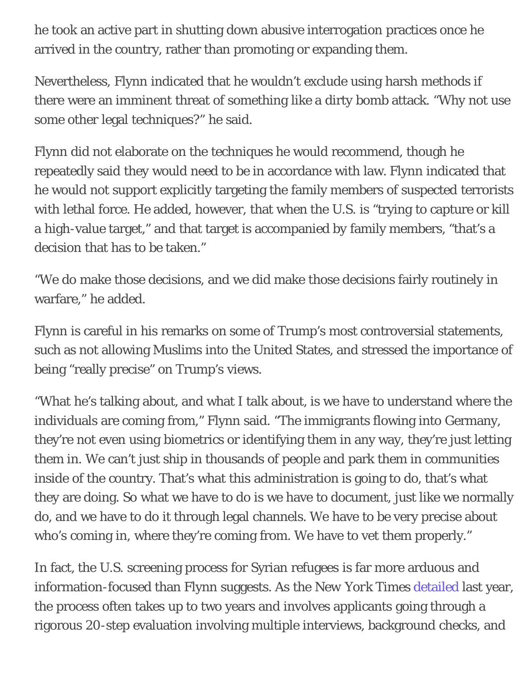he took an active part in shutting down abusive interrogation practices once he arrived in the country, rather than promoting or expanding them.

Nevertheless, Flynn indicated that he wouldn't exclude using harsh methods if there were an imminent threat of something like a dirty bomb attack. "Why not use some other legal techniques?" he said.

Flynn did not elaborate on the techniques he would recommend, though he repeatedly said they would need to be in accordance with law. Flynn indicated that he would not support explicitly targeting the family members of suspected terrorists with lethal force. He added, however, that when the U.S. is "trying to capture or kill a high-value target," and that target is accompanied by family members, "that's a decision that has to be taken."

"We do make those decisions, and we did make those decisions fairly routinely in warfare," he added.

Flynn is careful in his remarks on some of Trump's most controversial statements, such as not allowing Muslims into the United States, and stressed the importance of being "really precise" on Trump's views.

"What he's talking about, and what I talk about, is we have to understand where the individuals are coming from," Flynn said. "The immigrants flowing into Germany, they're not even using biometrics or identifying them in any way, they're just letting them in. We can't just ship in thousands of people and park them in communities inside of the country. That's what this administration is going to do, that's what they are doing. So what we have to do is we have to document, just like we normally do, and we have to do it through legal channels. We have to be very precise about who's coming in, where they're coming from. We have to vet them properly."

In fact, the U.S. screening process for Syrian refugees is far more arduous and information-focused than Flynn suggests. As the *New York Times* [detailed](http://www.nytimes.com/interactive/2015/11/20/us/why-it-takes-two-years-for-syrian-refugees-to-apply-to-enter-the-united-states.html) last year, the process often takes up to two years and involves applicants going through a rigorous 20-step evaluation involving multiple interviews, background checks, and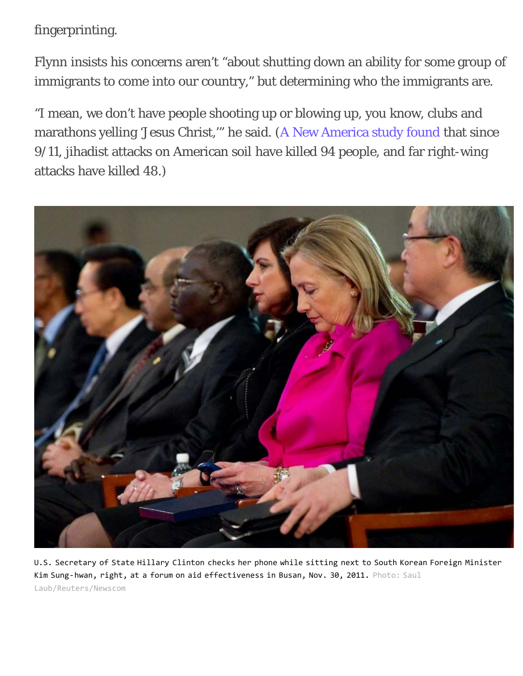fingerprinting.

Flynn insists his concerns aren't "about shutting down an ability for some group of immigrants to come into our country," but determining who the immigrants are.

"I mean, we don't have people shooting up or blowing up, you know, clubs and marathons yelling 'Jesus Christ,'" he said. ([A New America study found](http://securitydata.newamerica.net/extremists/deadly-attacks.html) that since 9/11, jihadist attacks on American soil have killed 94 people, and far right-wing attacks have killed 48.)



U.S. Secretary of State Hillary Clinton checks her phone while sitting next to South Korean Foreign Minister Kim Sung-hwan, right, at a forum on aid effectiveness in Busan, Nov. 30, 2011. Photo: Saul Laub/Reuters/Newscom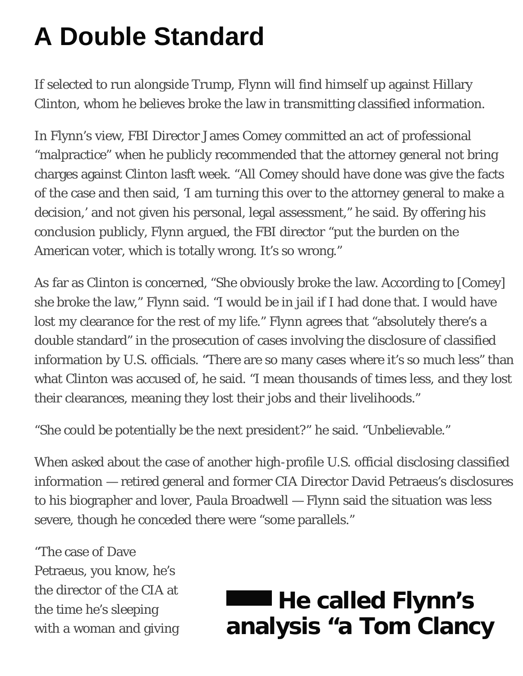# **A Double Standard**

If selected to run alongside Trump, Flynn will find himself up against Hillary Clinton, whom he believes broke the law in transmitting classified information.

In Flynn's view, FBI Director James Comey committed an act of professional "malpractice" when he publicly recommended that the attorney general not bring charges against Clinton lasft week. "All Comey should have done was give the facts of the case and then said, 'I am turning this over to the attorney general to make a decision,' and not given his personal, legal assessment," he said. By offering his conclusion publicly, Flynn argued, the FBI director "put the burden on the American voter, which is totally wrong. It's so wrong."

As far as Clinton is concerned, "She obviously broke the law. According to [Comey] she broke the law," Flynn said. "I would be in jail if I had done that. I would have lost my clearance for the rest of my life." Flynn agrees that "absolutely there's a double standard" in the prosecution of cases involving the disclosure of classified information by U.S. officials. "There are so many cases where it's so much less" than what Clinton was accused of, he said. "I mean thousands of times less, and they lost their clearances, meaning they lost their jobs and their livelihoods."

"She could be potentially be the next president?" he said. "Unbelievable."

When asked about the case of another high-profile U.S. official disclosing classified information — retired general and former CIA Director David Petraeus's disclosures to his biographer and lover, Paula Broadwell — Flynn said the situation was less severe, though he conceded there were "some parallels."

"The case of Dave Petraeus, you know, he's the director of the CIA at the time he's sleeping with a woman and giving

## **He called Flynn's analysis "a Tom Clancy**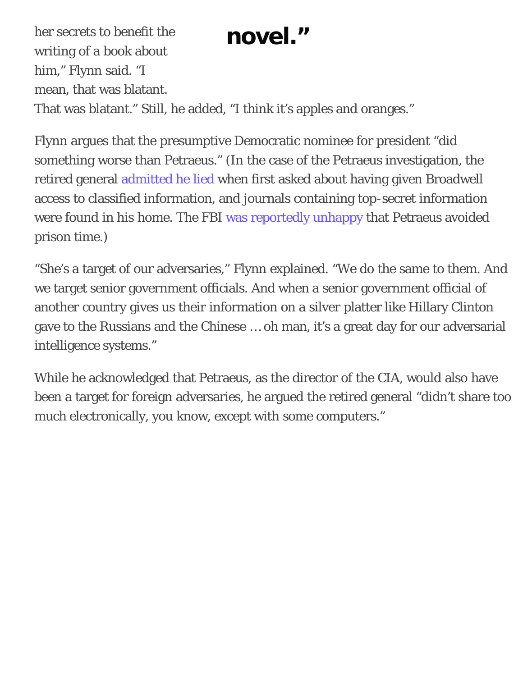her secrets to benefit the **novel.**" writing of a book about him," Flynn said. "I mean, that was blatant. That was blatant." Still, he added, "I think it's apples and oranges."

Flynn argues that the presumptive Democratic nominee for president "did something worse than Petraeus." (In the case of the Petraeus investigation, the retired general [admitted he lied](https://theintercept.com/2015/03/03/petraeus-plea-deal-reveals-two-tier-justice-system-leaks/) when first asked about having given Broadwell access to classified information, and journals containing top-secret information were found in his home. The FBI [was reportedly unhappy](https://www.washingtonpost.com/world/national-security/how-david-petraeus-avoided-felony-charges-and-possible-prison-time/2016/01/25/d77628dc-bfab-11e5-83d4-42e3bceea902_story.html) that Petraeus avoided prison time.)

"She's a target of our adversaries," Flynn explained. "We do the same to them. And we target senior government officials. And when a senior government official of another country gives us their information on a silver platter like Hillary Clinton gave to the Russians and the Chinese … oh man, it's a great day for our adversarial intelligence systems."

While he acknowledged that Petraeus, as the director of the CIA, would also have been a target for foreign adversaries, he argued the retired general "didn't share too much electronically, you know, except with some computers."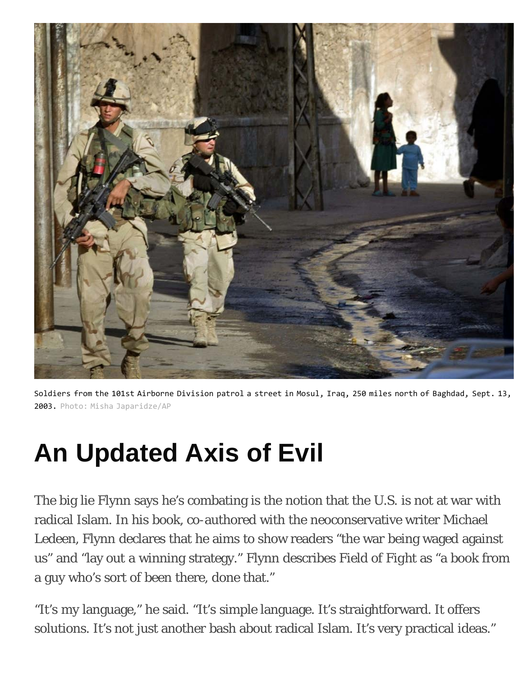

Soldiers from the 101st Airborne Division patrol a street in Mosul, Iraq, 250 miles north of Baghdad, Sept. 13, 2003. Photo: Misha Japaridze/AP

# **An Updated Axis of Evil**

The big lie Flynn says he's combating is the notion that the U.S. is not at war with radical Islam. In his book, co-authored with the neoconservative writer Michael Ledeen, Flynn declares that he aims to show readers "the war being waged against us" and "lay out a winning strategy." Flynn describes *Field of Fight* as "a book from a guy who's sort of been there, done that."

"It's my language," he said. "It's simple language. It's straightforward. It offers solutions. It's not just another bash about radical Islam. It's very practical ideas."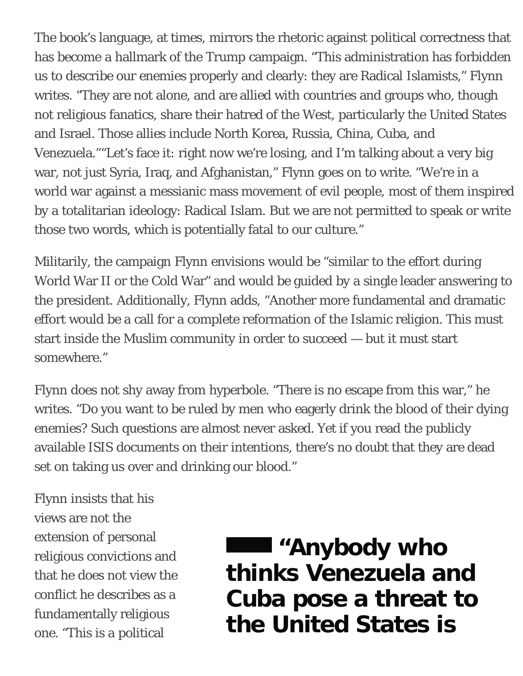The book's language, at times, mirrors the rhetoric against political correctness that has become a hallmark of the Trump campaign. "This administration has forbidden us to describe our enemies properly and clearly: they are Radical Islamists," Flynn writes. "They are not alone, and are allied with countries and groups who, though not religious fanatics, share their hatred of the West, particularly the United States and Israel. Those allies include North Korea, Russia, China, Cuba, and Venezuela.""Let's face it: right now we're losing, and I'm talking about a very big war, not just Syria, Iraq, and Afghanistan," Flynn goes on to write. "We're in a world war against a messianic mass movement of evil people, most of them inspired by a totalitarian ideology: Radical Islam. But we are not permitted to speak or write those two words, which is potentially fatal to our culture."

Militarily, the campaign Flynn envisions would be "similar to the effort during World War II or the Cold War" and would be guided by a single leader answering to the president. Additionally, Flynn adds, "Another more fundamental and dramatic effort would be a call for a complete reformation of the Islamic religion. This must start inside the Muslim community in order to succeed — but it must start somewhere."

Flynn does not shy away from hyperbole. "There is no escape from this war," he writes. "Do you want to be ruled by men who eagerly drink the blood of their dying enemies? Such questions are almost never asked. Yet if you read the publicly available ISIS documents on their intentions, there's no doubt that they are dead set on taking us over and drinking our blood."

Flynn insists that his views are not the extension of personal religious convictions and that he does not view the conflict he describes as a fundamentally religious one. "This is a political

**"Anybody who thinks Venezuela and Cuba pose a threat to the United States is**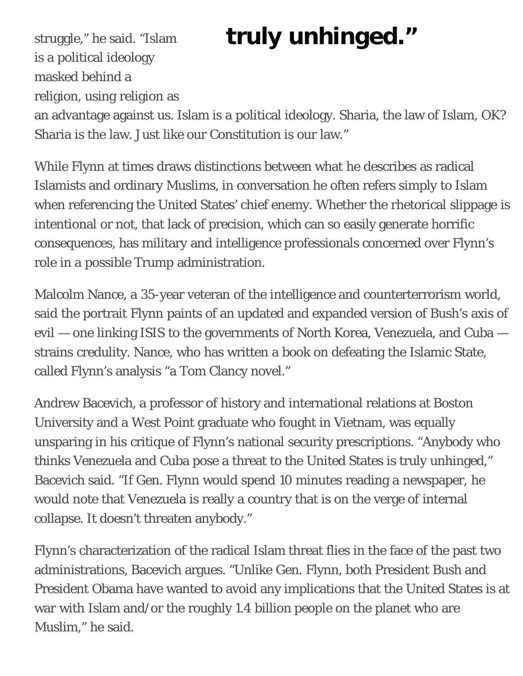## struggle," he said. "Islam **truly unhinged."**

is a political ideology masked behind a religion, using religion as an advantage against us. Islam is a political ideology. Sharia, the law of Islam, OK? Sharia is the law. Just like our Constitution is our law."

While Flynn at times draws distinctions between what he describes as radical Islamists and ordinary Muslims, in conversation he often refers simply to Islam when referencing the United States' chief enemy. Whether the rhetorical slippage is intentional or not, that lack of precision, which can so easily generate horrific consequences, has military and intelligence professionals concerned over Flynn's role in a possible Trump administration.

Malcolm Nance, a 35-year veteran of the intelligence and counterterrorism world, said the portrait Flynn paints of an updated and expanded version of Bush's axis of evil — one linking ISIS to the governments of North Korea, Venezuela, and Cuba strains credulity. Nance, who has written a book on defeating the Islamic State, called Flynn's analysis "a Tom Clancy novel."

Andrew Bacevich, a professor of history and international relations at Boston University and a West Point graduate who fought in Vietnam, was equally unsparing in his critique of Flynn's national security prescriptions. "Anybody who thinks Venezuela and Cuba pose a threat to the United States is truly unhinged," Bacevich said. "If Gen. Flynn would spend 10 minutes reading a newspaper, he would note that Venezuela is really a country that is on the verge of internal collapse. It doesn't threaten anybody."

Flynn's characterization of the radical Islam threat flies in the face of the past two administrations, Bacevich argues. "Unlike Gen. Flynn, both President Bush and President Obama have wanted to avoid any implications that the United States is at war with Islam and/or the roughly 1.4 billion people on the planet who are Muslim," he said.